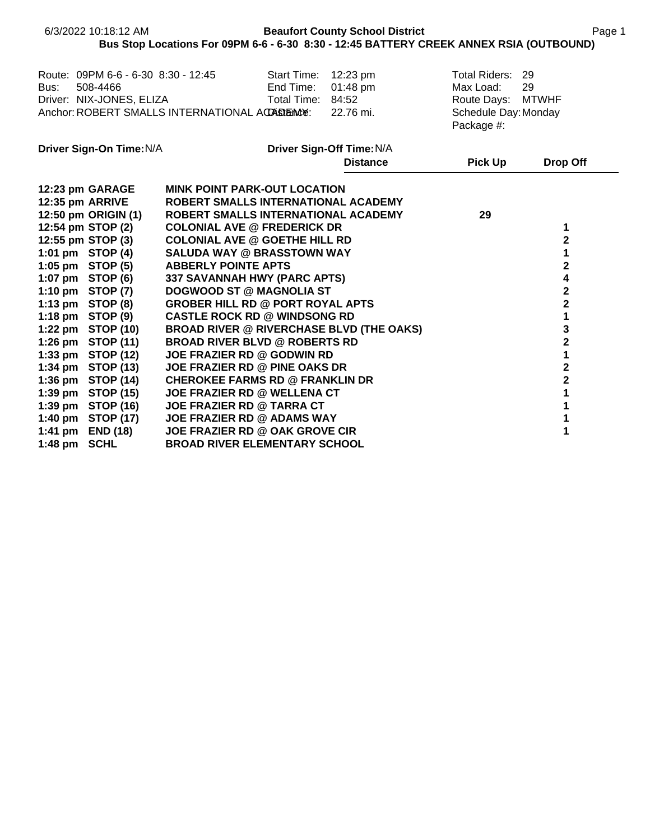| Route: 09PM 6-6 - 6-30 8:30 - 12:45<br>Start Time: 12:23 pm<br>Total Riders: 29<br>508-4466<br>End Time:<br>01:48 pm<br>Max Load:<br>29<br>Driver: NIX-JONES, ELIZA<br>Total Time: 84:52<br>Route Days: MTWHF<br>Anchor: ROBERT SMALLS INTERNATIONAL ACASEMENT<br>22.76 mi.<br>Schedule Day: Monday<br>Package #:<br>Driver Sign-On Time: N/A<br>Driver Sign-Off Time: N/A<br><b>Distance</b><br><b>Pick Up</b><br><b>Drop Off</b><br>12:23 pm GARAGE<br><b>MINK POINT PARK-OUT LOCATION</b><br>12:35 pm ARRIVE<br>ROBERT SMALLS INTERNATIONAL ACADEMY<br>12:50 pm ORIGIN (1)<br>ROBERT SMALLS INTERNATIONAL ACADEMY<br>29<br>12:54 pm STOP (2)<br><b>COLONIAL AVE @ FREDERICK DR</b><br>1<br>$\overline{\mathbf{2}}$<br>12:55 pm STOP (3)<br><b>COLONIAL AVE @ GOETHE HILL RD</b><br>1:01 pm STOP (4)<br><b>SALUDA WAY @ BRASSTOWN WAY</b><br>1<br>2<br>1:05 pm STOP (5)<br><b>ABBERLY POINTE APTS</b><br>4<br>1:07 pm STOP (6)<br>337 SAVANNAH HWY (PARC APTS)<br>$\mathbf 2$<br>1:10 pm STOP (7)<br><b>DOGWOOD ST @ MAGNOLIA ST</b><br>$\overline{\mathbf{2}}$<br>1:13 pm STOP (8)<br><b>GROBER HILL RD @ PORT ROYAL APTS</b><br>1<br>1:18 pm STOP (9)<br><b>CASTLE ROCK RD @ WINDSONG RD</b><br>3<br>1:22 pm STOP (10)<br><b>BROAD RIVER @ RIVERCHASE BLVD (THE OAKS)</b><br>$\overline{\mathbf{2}}$<br>1:26 pm STOP (11)<br><b>BROAD RIVER BLVD @ ROBERTS RD</b><br>1<br>1:33 pm STOP (12)<br><b>JOE FRAZIER RD @ GODWIN RD</b><br>$\mathbf 2$<br>1:34 pm STOP (13)<br>JOE FRAZIER RD @ PINE OAKS DR<br>$\overline{\mathbf{2}}$<br>1:36 pm STOP (14)<br><b>CHEROKEE FARMS RD @ FRANKLIN DR</b><br>1<br>1:39 pm STOP (15)<br><b>JOE FRAZIER RD @ WELLENA CT</b><br>1:39 pm STOP (16)<br><b>JOE FRAZIER RD @ TARRA CT</b><br>1<br>1:40 pm STOP (17)<br>1<br><b>JOE FRAZIER RD @ ADAMS WAY</b><br>1<br>1:41 pm END (18)<br><b>JOE FRAZIER RD @ OAK GROVE CIR</b> |           | 6/3/2022 10:18:12 AM | Bus Stop Locations For 09PM 6-6 - 6-30 8:30 - 12:45 BATTERY CREEK ANNEX RSIA (OUTBOUND) |  | <b>Beaufort County School District</b> |  | Page 1 |
|--------------------------------------------------------------------------------------------------------------------------------------------------------------------------------------------------------------------------------------------------------------------------------------------------------------------------------------------------------------------------------------------------------------------------------------------------------------------------------------------------------------------------------------------------------------------------------------------------------------------------------------------------------------------------------------------------------------------------------------------------------------------------------------------------------------------------------------------------------------------------------------------------------------------------------------------------------------------------------------------------------------------------------------------------------------------------------------------------------------------------------------------------------------------------------------------------------------------------------------------------------------------------------------------------------------------------------------------------------------------------------------------------------------------------------------------------------------------------------------------------------------------------------------------------------------------------------------------------------------------------------------------------------------------------------------------------------------------------------------------------------------------------------------------------------------------------------------------------------------------|-----------|----------------------|-----------------------------------------------------------------------------------------|--|----------------------------------------|--|--------|
|                                                                                                                                                                                                                                                                                                                                                                                                                                                                                                                                                                                                                                                                                                                                                                                                                                                                                                                                                                                                                                                                                                                                                                                                                                                                                                                                                                                                                                                                                                                                                                                                                                                                                                                                                                                                                                                                    | Bus:      |                      |                                                                                         |  |                                        |  |        |
|                                                                                                                                                                                                                                                                                                                                                                                                                                                                                                                                                                                                                                                                                                                                                                                                                                                                                                                                                                                                                                                                                                                                                                                                                                                                                                                                                                                                                                                                                                                                                                                                                                                                                                                                                                                                                                                                    |           |                      |                                                                                         |  |                                        |  |        |
|                                                                                                                                                                                                                                                                                                                                                                                                                                                                                                                                                                                                                                                                                                                                                                                                                                                                                                                                                                                                                                                                                                                                                                                                                                                                                                                                                                                                                                                                                                                                                                                                                                                                                                                                                                                                                                                                    |           |                      |                                                                                         |  |                                        |  |        |
|                                                                                                                                                                                                                                                                                                                                                                                                                                                                                                                                                                                                                                                                                                                                                                                                                                                                                                                                                                                                                                                                                                                                                                                                                                                                                                                                                                                                                                                                                                                                                                                                                                                                                                                                                                                                                                                                    |           |                      |                                                                                         |  |                                        |  |        |
|                                                                                                                                                                                                                                                                                                                                                                                                                                                                                                                                                                                                                                                                                                                                                                                                                                                                                                                                                                                                                                                                                                                                                                                                                                                                                                                                                                                                                                                                                                                                                                                                                                                                                                                                                                                                                                                                    |           |                      |                                                                                         |  |                                        |  |        |
|                                                                                                                                                                                                                                                                                                                                                                                                                                                                                                                                                                                                                                                                                                                                                                                                                                                                                                                                                                                                                                                                                                                                                                                                                                                                                                                                                                                                                                                                                                                                                                                                                                                                                                                                                                                                                                                                    |           |                      |                                                                                         |  |                                        |  |        |
|                                                                                                                                                                                                                                                                                                                                                                                                                                                                                                                                                                                                                                                                                                                                                                                                                                                                                                                                                                                                                                                                                                                                                                                                                                                                                                                                                                                                                                                                                                                                                                                                                                                                                                                                                                                                                                                                    |           |                      |                                                                                         |  |                                        |  |        |
|                                                                                                                                                                                                                                                                                                                                                                                                                                                                                                                                                                                                                                                                                                                                                                                                                                                                                                                                                                                                                                                                                                                                                                                                                                                                                                                                                                                                                                                                                                                                                                                                                                                                                                                                                                                                                                                                    |           |                      |                                                                                         |  |                                        |  |        |
|                                                                                                                                                                                                                                                                                                                                                                                                                                                                                                                                                                                                                                                                                                                                                                                                                                                                                                                                                                                                                                                                                                                                                                                                                                                                                                                                                                                                                                                                                                                                                                                                                                                                                                                                                                                                                                                                    |           |                      |                                                                                         |  |                                        |  |        |
|                                                                                                                                                                                                                                                                                                                                                                                                                                                                                                                                                                                                                                                                                                                                                                                                                                                                                                                                                                                                                                                                                                                                                                                                                                                                                                                                                                                                                                                                                                                                                                                                                                                                                                                                                                                                                                                                    |           |                      |                                                                                         |  |                                        |  |        |
|                                                                                                                                                                                                                                                                                                                                                                                                                                                                                                                                                                                                                                                                                                                                                                                                                                                                                                                                                                                                                                                                                                                                                                                                                                                                                                                                                                                                                                                                                                                                                                                                                                                                                                                                                                                                                                                                    |           |                      |                                                                                         |  |                                        |  |        |
|                                                                                                                                                                                                                                                                                                                                                                                                                                                                                                                                                                                                                                                                                                                                                                                                                                                                                                                                                                                                                                                                                                                                                                                                                                                                                                                                                                                                                                                                                                                                                                                                                                                                                                                                                                                                                                                                    |           |                      |                                                                                         |  |                                        |  |        |
|                                                                                                                                                                                                                                                                                                                                                                                                                                                                                                                                                                                                                                                                                                                                                                                                                                                                                                                                                                                                                                                                                                                                                                                                                                                                                                                                                                                                                                                                                                                                                                                                                                                                                                                                                                                                                                                                    |           |                      |                                                                                         |  |                                        |  |        |
|                                                                                                                                                                                                                                                                                                                                                                                                                                                                                                                                                                                                                                                                                                                                                                                                                                                                                                                                                                                                                                                                                                                                                                                                                                                                                                                                                                                                                                                                                                                                                                                                                                                                                                                                                                                                                                                                    |           |                      |                                                                                         |  |                                        |  |        |
|                                                                                                                                                                                                                                                                                                                                                                                                                                                                                                                                                                                                                                                                                                                                                                                                                                                                                                                                                                                                                                                                                                                                                                                                                                                                                                                                                                                                                                                                                                                                                                                                                                                                                                                                                                                                                                                                    |           |                      |                                                                                         |  |                                        |  |        |
|                                                                                                                                                                                                                                                                                                                                                                                                                                                                                                                                                                                                                                                                                                                                                                                                                                                                                                                                                                                                                                                                                                                                                                                                                                                                                                                                                                                                                                                                                                                                                                                                                                                                                                                                                                                                                                                                    |           |                      |                                                                                         |  |                                        |  |        |
|                                                                                                                                                                                                                                                                                                                                                                                                                                                                                                                                                                                                                                                                                                                                                                                                                                                                                                                                                                                                                                                                                                                                                                                                                                                                                                                                                                                                                                                                                                                                                                                                                                                                                                                                                                                                                                                                    |           |                      |                                                                                         |  |                                        |  |        |
|                                                                                                                                                                                                                                                                                                                                                                                                                                                                                                                                                                                                                                                                                                                                                                                                                                                                                                                                                                                                                                                                                                                                                                                                                                                                                                                                                                                                                                                                                                                                                                                                                                                                                                                                                                                                                                                                    |           |                      |                                                                                         |  |                                        |  |        |
|                                                                                                                                                                                                                                                                                                                                                                                                                                                                                                                                                                                                                                                                                                                                                                                                                                                                                                                                                                                                                                                                                                                                                                                                                                                                                                                                                                                                                                                                                                                                                                                                                                                                                                                                                                                                                                                                    |           |                      |                                                                                         |  |                                        |  |        |
| <b>SCHL</b><br><b>BROAD RIVER ELEMENTARY SCHOOL</b>                                                                                                                                                                                                                                                                                                                                                                                                                                                                                                                                                                                                                                                                                                                                                                                                                                                                                                                                                                                                                                                                                                                                                                                                                                                                                                                                                                                                                                                                                                                                                                                                                                                                                                                                                                                                                | $1:48$ pm |                      |                                                                                         |  |                                        |  |        |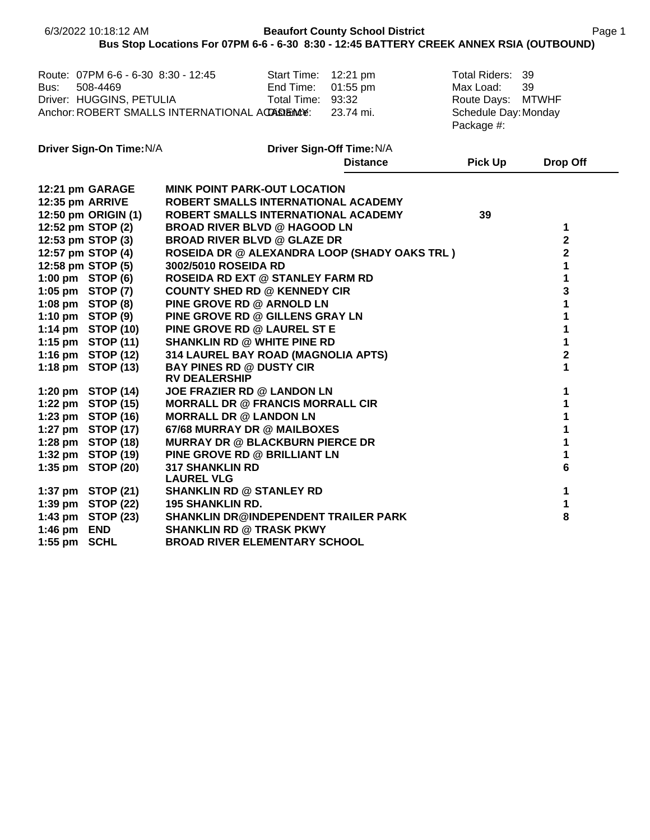|                          | 6/3/2022 10:18:12 AM                                                                                                                           | Bus Stop Locations For 07PM 6-6 - 6-30 8:30 - 12:45 BATTERY CREEK ANNEX RSIA (OUTBOUND)                                                                                                                                                                                                                                   | <b>Beaufort County School District</b>        |                                                                                       | Page 1                                                 |
|--------------------------|------------------------------------------------------------------------------------------------------------------------------------------------|---------------------------------------------------------------------------------------------------------------------------------------------------------------------------------------------------------------------------------------------------------------------------------------------------------------------------|-----------------------------------------------|---------------------------------------------------------------------------------------|--------------------------------------------------------|
| Bus:                     | Route: 07PM 6-6 - 6-30 8:30 - 12:45<br>508-4469<br>Driver: HUGGINS, PETULIA                                                                    | End Time:<br>Total Time: 93:32<br>Anchor: ROBERT SMALLS INTERNATIONAL ACCASIENCY:                                                                                                                                                                                                                                         | Start Time: 12:21 pm<br>01:55 pm<br>23.74 mi. | Total Riders:<br>Max Load:<br>Route Days: MTWHF<br>Schedule Day: Monday<br>Package #: | 39<br>39                                               |
|                          | Driver Sign-On Time: N/A                                                                                                                       |                                                                                                                                                                                                                                                                                                                           | Driver Sign-Off Time: N/A                     |                                                                                       |                                                        |
|                          |                                                                                                                                                |                                                                                                                                                                                                                                                                                                                           | <b>Distance</b>                               | <b>Pick Up</b>                                                                        | <b>Drop Off</b>                                        |
| 12:35 pm ARRIVE          | 12:21 pm GARAGE<br>12:50 pm ORIGIN (1)<br>12:52 pm STOP (2)<br>12:53 pm STOP (3)<br>12:57 pm STOP (4)<br>12:58 pm STOP (5)<br>1:00 pm STOP (6) | <b>MINK POINT PARK-OUT LOCATION</b><br>ROBERT SMALLS INTERNATIONAL ACADEMY<br>ROBERT SMALLS INTERNATIONAL ACADEMY<br><b>BROAD RIVER BLVD @ HAGOOD LN</b><br><b>BROAD RIVER BLVD @ GLAZE DR</b><br><b>ROSEIDA DR @ ALEXANDRA LOOP (SHADY OAKS TRL )</b><br>3002/5010 ROSEIDA RD<br><b>ROSEIDA RD EXT @ STANLEY FARM RD</b> |                                               | 39                                                                                    | 1<br>$\overline{\mathbf{2}}$<br>$\mathbf{2}$<br>1<br>1 |
|                          | 1:05 pm STOP (7)<br>1:08 pm STOP (8)<br>1:10 pm STOP (9)<br>1:14 pm STOP (10)                                                                  | <b>COUNTY SHED RD @ KENNEDY CIR</b><br>PINE GROVE RD @ ARNOLD LN<br>PINE GROVE RD @ GILLENS GRAY LN<br>PINE GROVE RD @ LAUREL ST E                                                                                                                                                                                        |                                               |                                                                                       | 3<br>1<br>1<br>1                                       |
|                          | 1:15 pm STOP (11)<br>1:16 pm STOP (12)<br>1:18 pm STOP (13)                                                                                    | <b>SHANKLIN RD @ WHITE PINE RD</b><br>314 LAUREL BAY ROAD (MAGNOLIA APTS)<br><b>BAY PINES RD @ DUSTY CIR</b><br><b>RV DEALERSHIP</b>                                                                                                                                                                                      |                                               |                                                                                       | 1<br>$\overline{\mathbf{2}}$<br>1                      |
|                          | 1:20 pm STOP (14)<br>1:22 pm STOP (15)<br>1:23 pm STOP (16)<br>1:27 pm STOP (17)                                                               | JOE FRAZIER RD @ LANDON LN<br><b>MORRALL DR @ FRANCIS MORRALL CIR</b><br><b>MORRALL DR @ LANDON LN</b><br>67/68 MURRAY DR @ MAILBOXES                                                                                                                                                                                     |                                               |                                                                                       | 1<br>1<br>1<br>1                                       |
|                          | 1:28 pm STOP (18)<br>1:32 pm STOP (19)<br>1:35 pm STOP (20)                                                                                    | <b>MURRAY DR @ BLACKBURN PIERCE DR</b><br>PINE GROVE RD @ BRILLIANT LN<br><b>317 SHANKLIN RD</b><br><b>LAUREL VLG</b>                                                                                                                                                                                                     |                                               |                                                                                       | 1<br>1<br>6                                            |
| 1:46 pm END<br>$1:55$ pm | 1:37 pm STOP (21)<br>1:39 pm STOP (22)<br>1:43 pm STOP (23)<br><b>SCHL</b>                                                                     | <b>SHANKLIN RD @ STANLEY RD</b><br><b>195 SHANKLIN RD.</b><br><b>SHANKLIN DR@INDEPENDENT TRAILER PARK</b><br><b>SHANKLIN RD @ TRASK PKWY</b><br><b>BROAD RIVER ELEMENTARY SCHOOL</b>                                                                                                                                      |                                               |                                                                                       | 1<br>1<br>8                                            |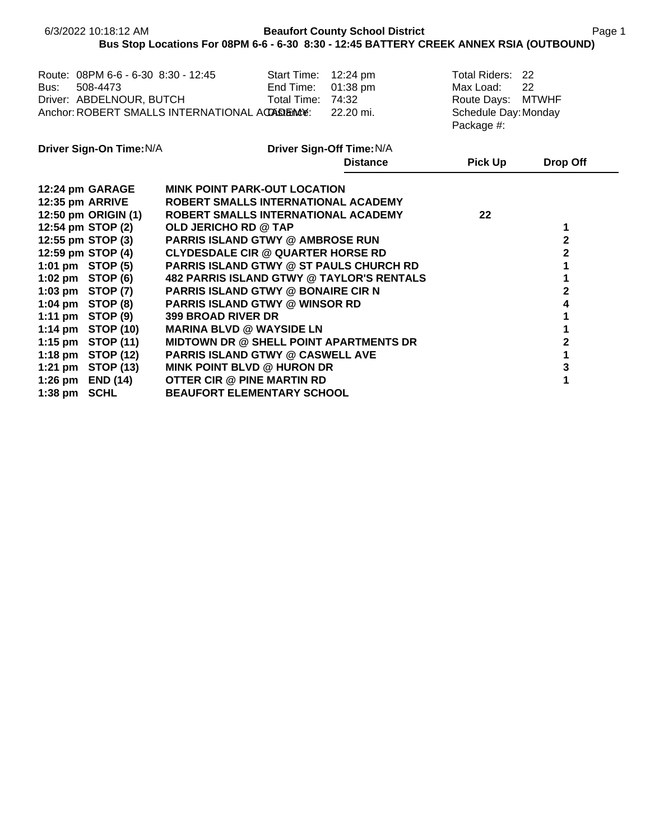|                                                                                                                                                                                                                             | 6/3/2022 10:18:12 AM                                                                                    | Bus Stop Locations For 08PM 6-6 - 6-30 8:30 - 12:45 BATTERY CREEK ANNEX RSIA (OUTBOUND)                                                                                                                                                                                                                                                                                                                                                                                                                                                                                                                                                                                   |                                                        | <b>Beaufort County School District</b> |                                                                                          | Page 1                                                                                                 |  |
|-----------------------------------------------------------------------------------------------------------------------------------------------------------------------------------------------------------------------------|---------------------------------------------------------------------------------------------------------|---------------------------------------------------------------------------------------------------------------------------------------------------------------------------------------------------------------------------------------------------------------------------------------------------------------------------------------------------------------------------------------------------------------------------------------------------------------------------------------------------------------------------------------------------------------------------------------------------------------------------------------------------------------------------|--------------------------------------------------------|----------------------------------------|------------------------------------------------------------------------------------------|--------------------------------------------------------------------------------------------------------|--|
| Bus:                                                                                                                                                                                                                        | 508-4473                                                                                                | Route: 08PM 6-6 - 6-30 8:30 - 12:45<br>Driver: ABDELNOUR, BUTCH<br>Anchor: ROBERT SMALLS INTERNATIONAL ACCASTERACY:                                                                                                                                                                                                                                                                                                                                                                                                                                                                                                                                                       | Start Time: 12:24 pm<br>End Time:<br>Total Time: 74:32 | 01:38 pm<br>22.20 mi.                  | Total Riders: 22<br>Max Load:<br>Route Days: MTWHF<br>Schedule Day: Monday<br>Package #: | 22                                                                                                     |  |
|                                                                                                                                                                                                                             | Driver Sign-On Time: N/A                                                                                |                                                                                                                                                                                                                                                                                                                                                                                                                                                                                                                                                                                                                                                                           |                                                        | Driver Sign-Off Time: N/A              |                                                                                          |                                                                                                        |  |
|                                                                                                                                                                                                                             |                                                                                                         |                                                                                                                                                                                                                                                                                                                                                                                                                                                                                                                                                                                                                                                                           |                                                        | <b>Distance</b>                        | <b>Pick Up</b>                                                                           | Drop Off                                                                                               |  |
| 12:24 pm GARAGE<br>12:35 pm ARRIVE<br>12:54 pm STOP (2)<br>12:55 pm STOP (3)<br>12:59 pm STOP (4)<br>1:01 pm STOP (5)<br>1:02 pm $STOP(6)$<br>1:03 pm STOP (7)<br>1:04 pm STOP (8)<br>1:11 pm $STOP(9)$<br>1:26 pm END (14) | 12:50 pm ORIGIN (1)<br>1:14 pm STOP (10)<br>1:15 pm STOP (11)<br>1:18 pm STOP (12)<br>1:21 pm STOP (13) | <b>MINK POINT PARK-OUT LOCATION</b><br>ROBERT SMALLS INTERNATIONAL ACADEMY<br>ROBERT SMALLS INTERNATIONAL ACADEMY<br><b>OLD JERICHO RD @ TAP</b><br><b>PARRIS ISLAND GTWY @ AMBROSE RUN</b><br><b>CLYDESDALE CIR @ QUARTER HORSE RD</b><br><b>PARRIS ISLAND GTWY @ ST PAULS CHURCH RD</b><br><b>482 PARRIS ISLAND GTWY @ TAYLOR'S RENTALS</b><br><b>PARRIS ISLAND GTWY @ BONAIRE CIR N</b><br><b>PARRIS ISLAND GTWY @ WINSOR RD</b><br><b>399 BROAD RIVER DR</b><br><b>MARINA BLVD @ WAYSIDE LN</b><br><b>MIDTOWN DR @ SHELL POINT APARTMENTS DR</b><br><b>PARRIS ISLAND GTWY @ CASWELL AVE</b><br><b>MINK POINT BLVD @ HURON DR</b><br><b>OTTER CIR @ PINE MARTIN RD</b> |                                                        |                                        | 22                                                                                       | 1<br>$\mathbf{2}$<br>$\mathbf 2$<br>1<br>1<br>$\mathbf 2$<br>4<br>1<br>1<br>$\mathbf 2$<br>1<br>3<br>1 |  |
| $1:38$ pm                                                                                                                                                                                                                   | SCHL                                                                                                    | <b>BEAUFORT ELEMENTARY SCHOOL</b>                                                                                                                                                                                                                                                                                                                                                                                                                                                                                                                                                                                                                                         |                                                        |                                        |                                                                                          |                                                                                                        |  |